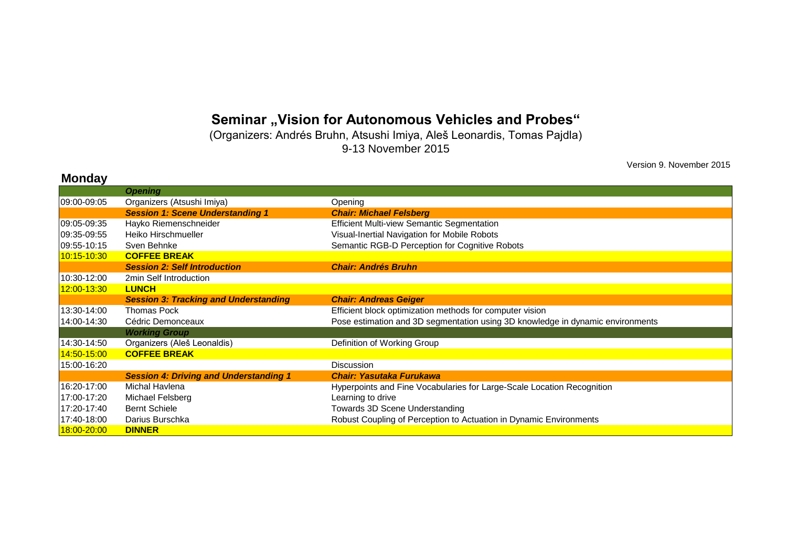## Seminar "Vision for Autonomous Vehicles and Probes"

(Organizers: Andrés Bruhn, Atsushi Imiya, Aleš Leonardis, Tomas Pajdla) 9-13 November 2015

**Monday**

Version 9. November 2015

| <b>IVIUIUAV</b> |                                               |                                                                                |
|-----------------|-----------------------------------------------|--------------------------------------------------------------------------------|
|                 | <b>Opening</b>                                |                                                                                |
| 09:00-09:05     | Organizers (Atsushi Imiya)                    | Opening                                                                        |
|                 | <b>Session 1: Scene Understanding 1</b>       | <b>Chair: Michael Felsberg</b>                                                 |
| 09:05-09:35     | Hayko Riemenschneider                         | <b>Efficient Multi-view Semantic Segmentation</b>                              |
| 09:35-09:55     | Heiko Hirschmueller                           | Visual-Inertial Navigation for Mobile Robots                                   |
| 09:55-10:15     | Sven Behnke                                   | Semantic RGB-D Perception for Cognitive Robots                                 |
| 10:15-10:30     | <b>COFFEE BREAK</b>                           |                                                                                |
|                 | <b>Session 2: Self Introduction</b>           | <b>Chair: Andrés Bruhn</b>                                                     |
| 10:30-12:00     | 2min Self Introduction                        |                                                                                |
| 12:00-13:30     | <b>LUNCH</b>                                  |                                                                                |
|                 | <b>Session 3: Tracking and Understanding</b>  | <b>Chair: Andreas Geiger</b>                                                   |
| 13:30-14:00     | <b>Thomas Pock</b>                            | Efficient block optimization methods for computer vision                       |
| 14:00-14:30     | Cédric Demonceaux                             | Pose estimation and 3D segmentation using 3D knowledge in dynamic environments |
|                 | <b>Working Group</b>                          |                                                                                |
| 14:30-14:50     | Organizers (Aleš Leonaldis)                   | Definition of Working Group                                                    |
| 14:50-15:00     | <b>COFFEE BREAK</b>                           |                                                                                |
| 15:00-16:20     |                                               | <b>Discussion</b>                                                              |
|                 | <b>Session 4: Driving and Understanding 1</b> | <b>Chair: Yasutaka Furukawa</b>                                                |
| 16:20-17:00     | Michal Havlena                                | Hyperpoints and Fine Vocabularies for Large-Scale Location Recognition         |
| 17:00-17:20     | Michael Felsberg                              | Learning to drive                                                              |
| 17:20-17:40     | <b>Bernt Schiele</b>                          | Towards 3D Scene Understanding                                                 |
| 17:40-18:00     | Darius Burschka                               | Robust Coupling of Perception to Actuation in Dynamic Environments             |
| 18:00-20:00     | <b>DINNER</b>                                 |                                                                                |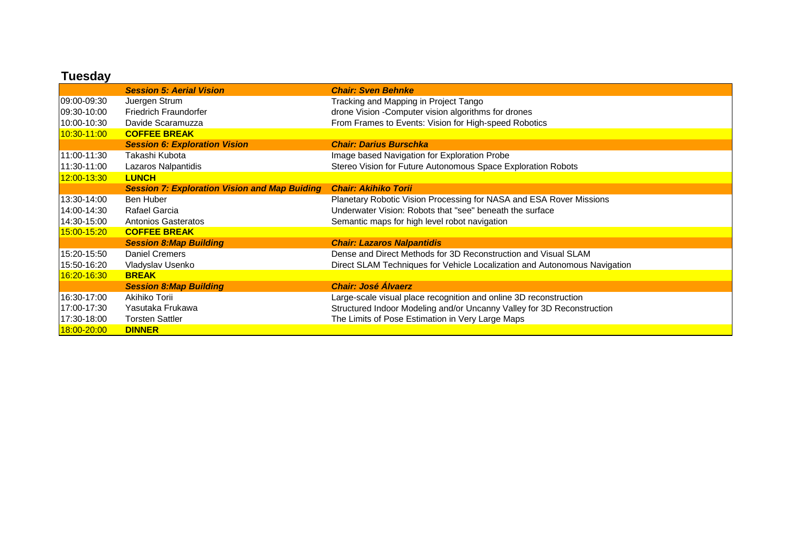|             | <b>Session 5: Aerial Vision</b>                      | <b>Chair: Sven Behnke</b>                                                 |
|-------------|------------------------------------------------------|---------------------------------------------------------------------------|
| 09:00-09:30 | Juergen Strum                                        | Tracking and Mapping in Project Tango                                     |
| 09:30-10:00 | <b>Friedrich Fraundorfer</b>                         | drone Vision - Computer vision algorithms for drones                      |
| 10:00-10:30 | Davide Scaramuzza                                    | From Frames to Events: Vision for High-speed Robotics                     |
| 10:30-11:00 | <b>COFFEE BREAK</b>                                  |                                                                           |
|             | <b>Session 6: Exploration Vision</b>                 | <b>Chair: Darius Burschka</b>                                             |
| 11:00-11:30 | Takashi Kubota                                       | Image based Navigation for Exploration Probe                              |
| 11:30-11:00 | Lazaros Nalpantidis                                  | Stereo Vision for Future Autonomous Space Exploration Robots              |
| 12:00-13:30 | <b>LUNCH</b>                                         |                                                                           |
|             | <b>Session 7: Exploration Vision and Map Buiding</b> | <b>Chair: Akihiko Torii</b>                                               |
| 13:30-14:00 | Ben Huber                                            | Planetary Robotic Vision Processing for NASA and ESA Rover Missions       |
| 14:00-14:30 | Rafael Garcia                                        | Underwater Vision: Robots that "see" beneath the surface                  |
| 14:30-15:00 | <b>Antonios Gasteratos</b>                           | Semantic maps for high level robot navigation                             |
| 15:00-15:20 | <b>COFFEE BREAK</b>                                  |                                                                           |
|             | <b>Session 8: Map Building</b>                       | <b>Chair: Lazaros Nalpantidis</b>                                         |
| 15:20-15:50 | <b>Daniel Cremers</b>                                | Dense and Direct Methods for 3D Reconstruction and Visual SLAM            |
| 15:50-16:20 | Vladyslav Usenko                                     | Direct SLAM Techniques for Vehicle Localization and Autonomous Navigation |
| 16:20-16:30 | <b>BREAK</b>                                         |                                                                           |
|             | <b>Session 8: Map Building</b>                       | <b>Chair: José Álvaerz</b>                                                |
| 16:30-17:00 | Akihiko Torii                                        | Large-scale visual place recognition and online 3D reconstruction         |
| 17:00-17:30 | Yasutaka Frukawa                                     | Structured Indoor Modeling and/or Uncanny Valley for 3D Reconstruction    |
| 17:30-18:00 | <b>Torsten Sattler</b>                               | The Limits of Pose Estimation in Very Large Maps                          |
| 18:00-20:00 | <b>DINNER</b>                                        |                                                                           |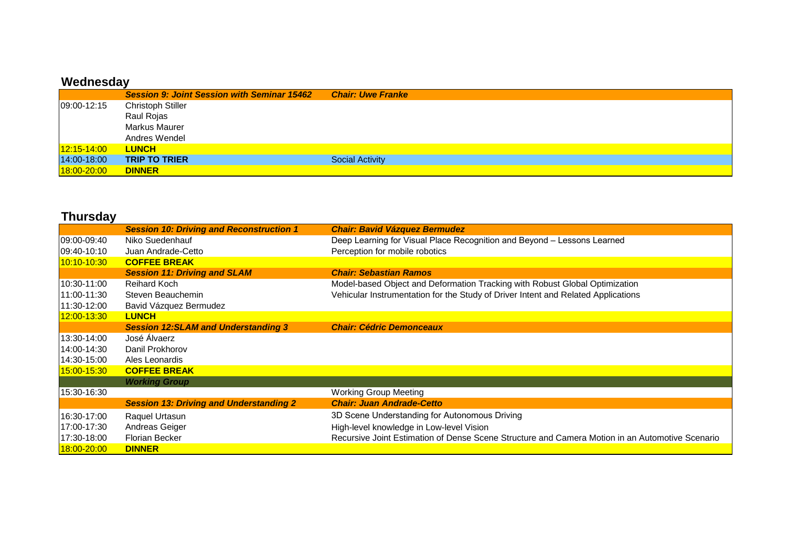## **Wednesday**

|             | <b>Session 9: Joint Session with Seminar 15462</b> | <b>Chair: Uwe Franke</b> |
|-------------|----------------------------------------------------|--------------------------|
| 09:00-12:15 | <b>Christoph Stiller</b>                           |                          |
|             | Raul Rojas                                         |                          |
|             | Markus Maurer                                      |                          |
|             | Andres Wendel                                      |                          |
| 12:15-14:00 | <b>LUNCH</b>                                       |                          |
| 14:00-18:00 | <b>TRIP TO TRIER</b>                               | <b>Social Activity</b>   |
| 18:00-20:00 | <b>DINNER</b>                                      |                          |

| <b>Thursday</b> |                                                 |                                                                                                 |
|-----------------|-------------------------------------------------|-------------------------------------------------------------------------------------------------|
|                 | <b>Session 10: Driving and Reconstruction 1</b> | <b>Chair: Bavid Vázquez Bermudez</b>                                                            |
| 09:00-09:40     | Niko Suedenhauf                                 | Deep Learning for Visual Place Recognition and Beyond - Lessons Learned                         |
| 09:40-10:10     | Juan Andrade-Cetto                              | Perception for mobile robotics                                                                  |
| 10:10-10:30     | <b>COFFEE BREAK</b>                             |                                                                                                 |
|                 | <b>Session 11: Driving and SLAM</b>             | <b>Chair: Sebastian Ramos</b>                                                                   |
| 10:30-11:00     | <b>Reihard Koch</b>                             | Model-based Object and Deformation Tracking with Robust Global Optimization                     |
| 11:00-11:30     | Steven Beauchemin                               | Vehicular Instrumentation for the Study of Driver Intent and Related Applications               |
| 11:30-12:00     | Bavid Vázquez Bermudez                          |                                                                                                 |
| 12:00-13:30     | <b>LUNCH</b>                                    |                                                                                                 |
|                 | <b>Session 12:SLAM and Understanding 3</b>      | <b>Chair: Cédric Demonceaux</b>                                                                 |
| 13:30-14:00     | José Álvaerz                                    |                                                                                                 |
| 14:00-14:30     | Danil Prokhorov                                 |                                                                                                 |
| 14:30-15:00     | Ales Leonardis                                  |                                                                                                 |
| 15:00-15:30     | <b>COFFEE BREAK</b>                             |                                                                                                 |
|                 | <b>Working Group</b>                            |                                                                                                 |
| 15:30-16:30     |                                                 | <b>Working Group Meeting</b>                                                                    |
|                 | <b>Session 13: Driving and Understanding 2</b>  | <b>Chair: Juan Andrade-Cetto</b>                                                                |
| 16:30-17:00     | Raquel Urtasun                                  | 3D Scene Understanding for Autonomous Driving                                                   |
| 17:00-17:30     | Andreas Geiger                                  | High-level knowledge in Low-level Vision                                                        |
| 17:30-18:00     | <b>Florian Becker</b>                           | Recursive Joint Estimation of Dense Scene Structure and Camera Motion in an Automotive Scenario |
| 18:00-20:00     | <b>DINNER</b>                                   |                                                                                                 |